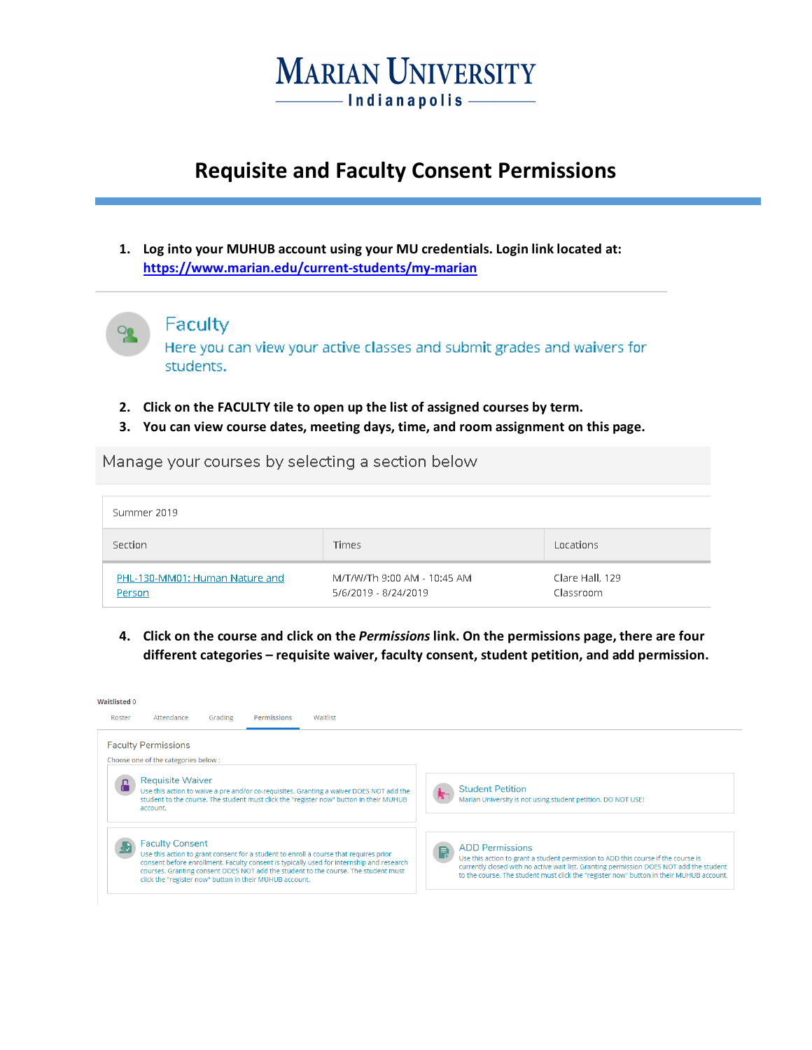

# **Requisite and Faculty Consent Permissions**

**1. Log into your MUHUB account using your MU credentials. Login link located at: <https://www.marian.edu/current-students/my-marian>**



#### Faculty

Here you can view your active classes and submit grades and waivers for students.

- **2. Click on the FACULTY tile to open up the list of assigned courses by term.**
- **3. You can view course dates, meeting days, time, and room assignment on this page.**

Manage your courses by selecting a section below

| Summer 2019                              |                                                     |                              |
|------------------------------------------|-----------------------------------------------------|------------------------------|
| Section                                  | <b>Times</b>                                        | Locations                    |
| PHL-130-MM01: Human Nature and<br>Person | M/T/W/Th 9:00 AM - 10:45 AM<br>5/6/2019 - 8/24/2019 | Clare Hall, 129<br>Classroom |

**4. Click on the course and click on the** *Permissions* **link. On the permissions page, there are four different categories – requisite waiver, faculty consent, student petition, and add permission.**

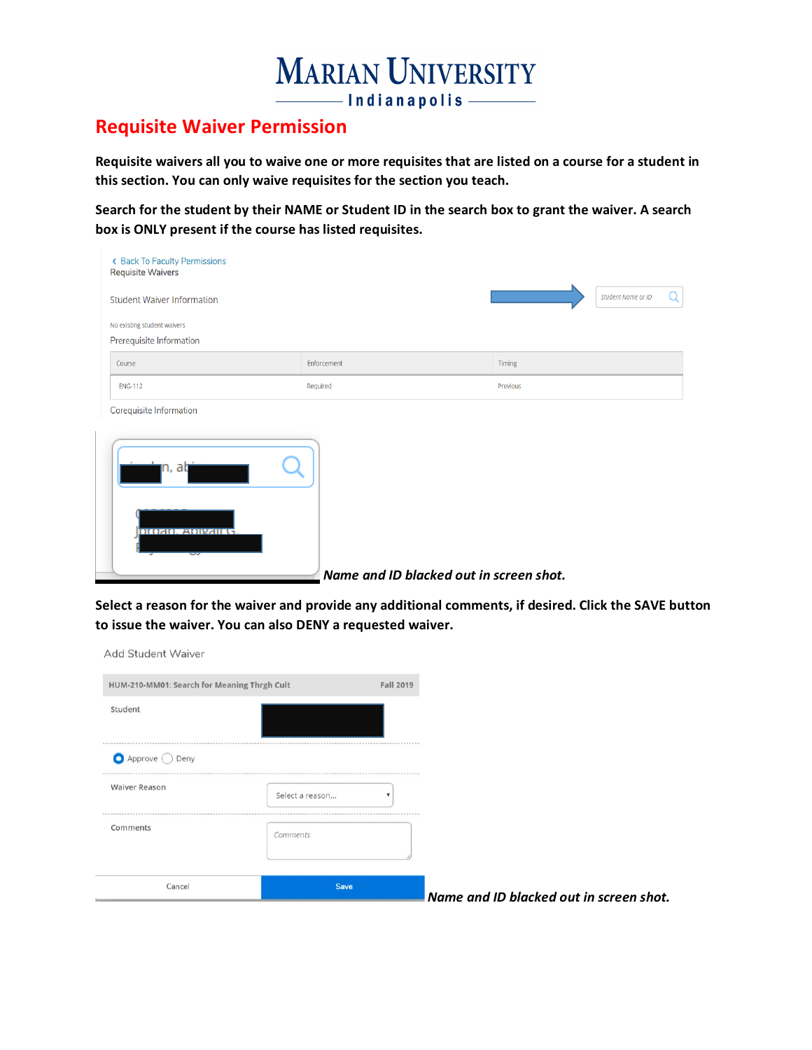

## **Requisite Waiver Permission**

**Requisite waivers all you to waive one or more requisites that are listed on a course for a student in this section. You can only waive requisites for the section you teach.**

**Search for the student by their NAME or Student ID in the search box to grant the waiver. A search box is ONLY present if the course has listed requisites.**

| ← Back To Faculty Permissions<br><b>Requisite Waivers</b> |                                         |                                |
|-----------------------------------------------------------|-----------------------------------------|--------------------------------|
| <b>Student Waiver Information</b>                         |                                         | <b>Student Name or ID</b><br>Q |
| No existing student waivers                               |                                         |                                |
| Prerequisite Information                                  |                                         |                                |
| Course                                                    | Enforcement                             | Timing                         |
| <b>ENG-112</b>                                            | Required                                | Previous                       |
| Corequisite Information                                   |                                         |                                |
| լո, aկ<br><b>DIGRIO, ADIPRILG</b>                         | Name and ID blacked out in screen shot. |                                |

**Select a reason for the waiver and provide any additional comments, if desired. Click the SAVE button to issue the waiver. You can also DENY a requested waiver.** 

Add Student Waiver HUM-210-MM01: Search for Meaning Thrgh Cult Fall 2019 Student  $\bigcirc$  Approve  $\bigcirc$  Deny **Waiver Reason** Select a reason...  $\bar{\mathbf{v}}$ Comments Comments Cancel Save *Name and ID blacked out in screen shot.*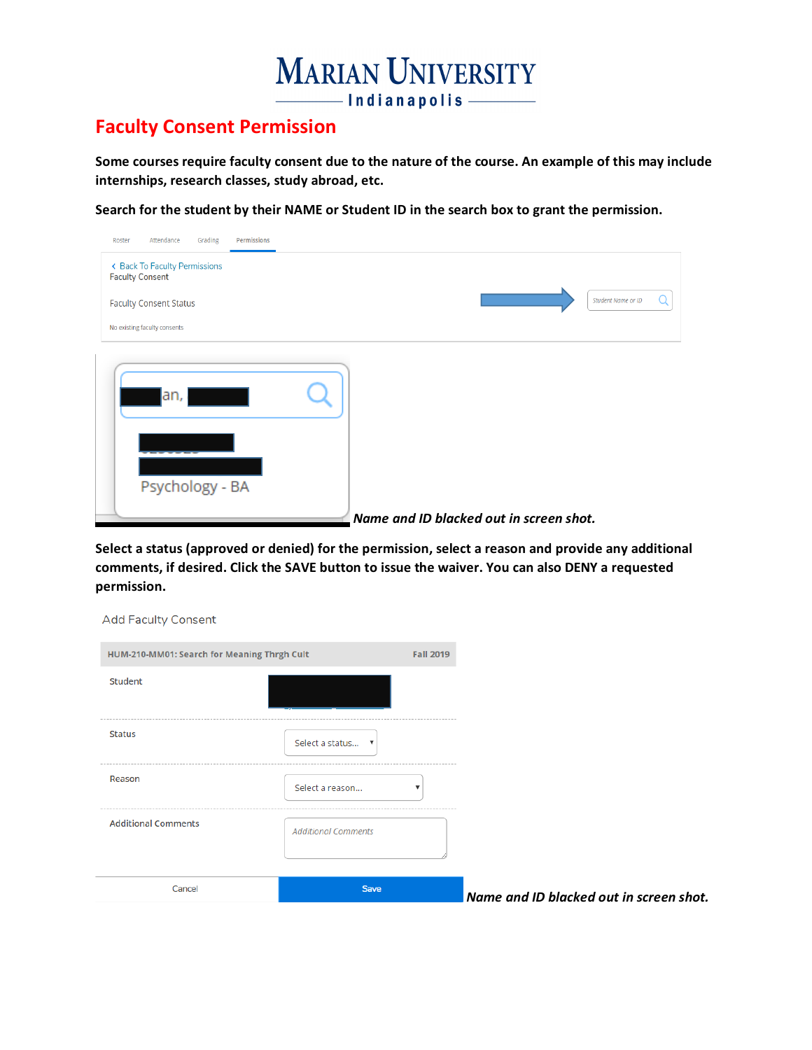

### **Faculty Consent Permission**

**Some courses require faculty consent due to the nature of the course. An example of this may include internships, research classes, study abroad, etc.**

**Search for the student by their NAME or Student ID in the search box to grant the permission.** 

| Grading<br>Permissions<br>Attendance<br>Roster          |                                         |
|---------------------------------------------------------|-----------------------------------------|
| ← Back To Faculty Permissions<br><b>Faculty Consent</b> |                                         |
| <b>Faculty Consent Status</b>                           | <b>Student Name or ID</b>               |
| No existing faculty consents                            |                                         |
| an,<br>Psychology - BA                                  | Name and ID blacked out in screen shot. |

**Select a status (approved or denied) for the permission, select a reason and provide any additional comments, if desired. Click the SAVE button to issue the waiver. You can also DENY a requested permission.** 

| <b>Add Faculty Consent</b>                  |                                              |                  |                                         |
|---------------------------------------------|----------------------------------------------|------------------|-----------------------------------------|
| HUM-210-MM01: Search for Meaning Thrgh Cult |                                              | <b>Fall 2019</b> |                                         |
| Student                                     |                                              |                  |                                         |
| Status                                      | Select a status<br>$\boldsymbol{\mathrm{v}}$ |                  |                                         |
| Reason                                      | Select a reason                              |                  |                                         |
| <b>Additional Comments</b>                  | <b>Additional Comments</b>                   |                  |                                         |
| Cancel                                      | <b>Save</b>                                  |                  | Name and ID blacked out in screen shot. |